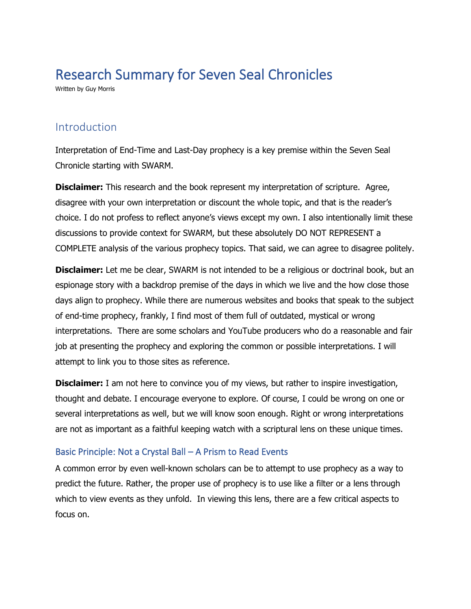## Research Summary for Seven Seal Chronicles

Written by Guy Morris

## Introduction

Interpretation of End-Time and Last-Day prophecy is a key premise within the Seven Seal Chronicle starting with SWARM.

**Disclaimer:** This research and the book represent my interpretation of scripture. Agree, disagree with your own interpretation or discount the whole topic, and that is the reader's choice. I do not profess to reflect anyone's views except my own. I also intentionally limit these discussions to provide context for SWARM, but these absolutely DO NOT REPRESENT a COMPLETE analysis of the various prophecy topics. That said, we can agree to disagree politely.

**Disclaimer:** Let me be clear, SWARM is not intended to be a religious or doctrinal book, but an espionage story with a backdrop premise of the days in which we live and the how close those days align to prophecy. While there are numerous websites and books that speak to the subject of end-time prophecy, frankly, I find most of them full of outdated, mystical or wrong interpretations. There are some scholars and YouTube producers who do a reasonable and fair job at presenting the prophecy and exploring the common or possible interpretations. I will attempt to link you to those sites as reference.

**Disclaimer:** I am not here to convince you of my views, but rather to inspire investigation, thought and debate. I encourage everyone to explore. Of course, I could be wrong on one or several interpretations as well, but we will know soon enough. Right or wrong interpretations are not as important as a faithful keeping watch with a scriptural lens on these unique times.

## Basic Principle: Not a Crystal Ball – A Prism to Read Events

A common error by even well-known scholars can be to attempt to use prophecy as a way to predict the future. Rather, the proper use of prophecy is to use like a filter or a lens through which to view events as they unfold. In viewing this lens, there are a few critical aspects to focus on.